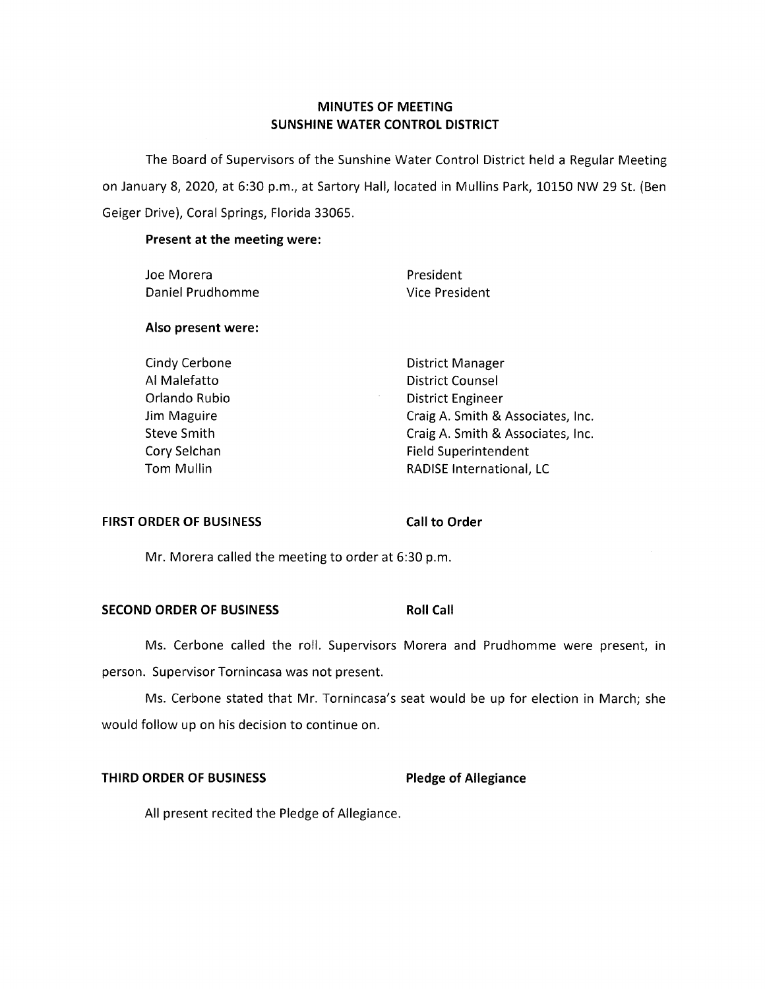# **MINUTES OF MEETING SUNSHINE WATER CONTROL DISTRICT**

The Board of Supervisors of the Sunshine Water Control District held a Regular Meeting on January 8, 2020, at 6:30 p.m., at Sartory Hall, located in Mullins Park, 10150 NW 29 St. (Ben Geiger Drive), Coral Springs, Florida 33065.

# **Present at the meeting were:**

| President                         |
|-----------------------------------|
| Vice President                    |
|                                   |
| District Manager                  |
| District Counsel                  |
| <b>District Engineer</b>          |
| Craig A. Smith & Associates, Inc. |
| Craig A. Smith & Associates, Inc. |
| <b>Field Superintendent</b>       |
| <b>RADISE International, LC</b>   |
|                                   |

### **FIRST ORDER OF BUSINESS** Call to Order

Mr. Morera called the meeting to order at 6:30 p.m.

# **SECOND ORDER OF BUSINESS Roll Call**

Ms. Cerbone called the roll. Supervisors Morera and Prudhomme were present, in person. Supervisor Tornincasa was not present.

Ms. Cerbone stated that Mr. Tornincasa's seat would be up for election in March; she would follow up on his decision to continue on.

# **THIRD ORDER OF BUSINESS Pledge of Allegiance**

All present recited the Pledge of Allegiance.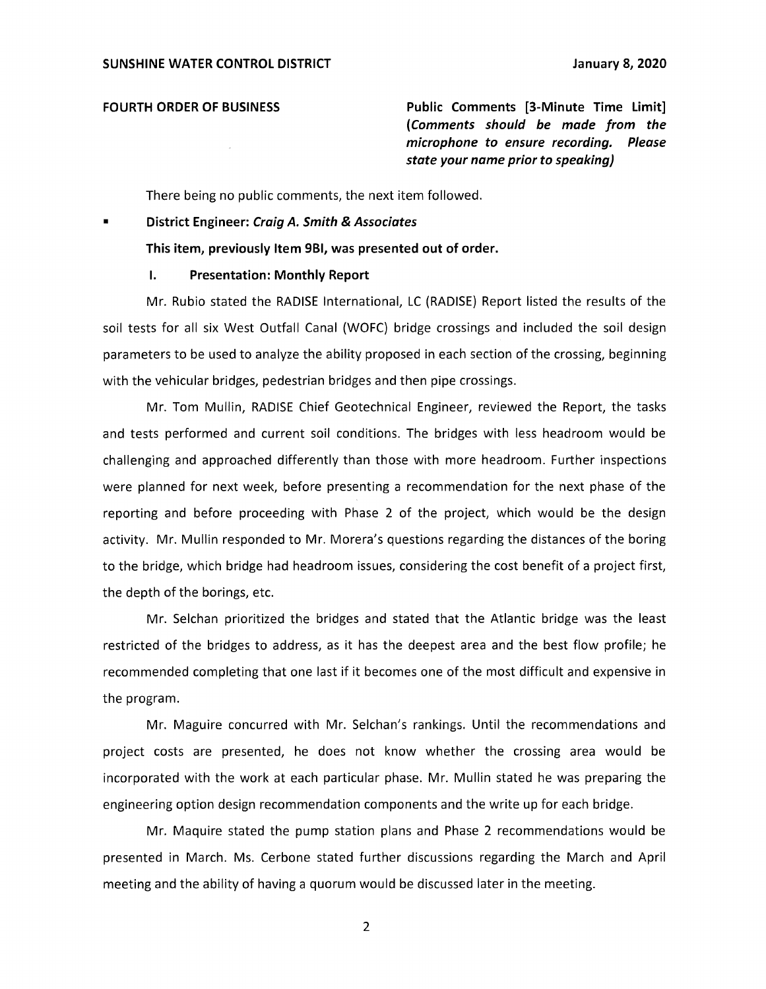**FOURTH ORDER OF BUSINESS Public Comments [3-Minute Time Limit]**  (*Comments should be made from the microphone to ensure recording. Please state your name prior to speaking)* 

There being no public comments, the next item followed.

### ■ **District Engineer:** *Craig A. Smith* **&** *Associates*

**This item, previously Item 981, was presented out of order.** 

### **I. Presentation: Monthly Report**

Mr. Rubio stated the RADISE International, LC (RADISE) Report listed the results of the soil tests for all six West Outfall Canal (WOFC) bridge crossings and included the soil design parameters to be used to analyze the ability proposed in each section of the crossing, beginning with the vehicular bridges, pedestrian bridges and then pipe crossings.

Mr. Tom Mullin, RADISE Chief Geotechnical Engineer, reviewed the Report, the tasks and tests performed and current soil conditions. The bridges with less headroom would be challenging and approached differently than those with more headroom. Further inspections were planned for next week, before presenting a recommendation for the next phase of the reporting and before proceeding with Phase 2 of the project, which would be the design activity. Mr. Mullin responded to Mr. Morera's questions regarding the distances of the boring to the bridge, which bridge had headroom issues, considering the cost benefit of a project first, the depth of the borings, etc.

Mr. Selchan prioritized the bridges and stated that the Atlantic bridge was the least restricted of the bridges to address, as it has the deepest area and the best flow profile; he recommended completing that one last if it becomes one of the most difficult and expensive in the program.

Mr. Maguire concurred with Mr. Selchan's rankings. Until the recommendations and project costs are presented, he does not know whether the crossing area would be incorporated with the work at each particular phase. Mr. Mullin stated he was preparing the engineering option design recommendation components and the write up for each bridge.

Mr. Maquire stated the pump station plans and Phase 2 recommendations would be presented in March. Ms. Cerbone stated further discussions regarding the March and April meeting and the ability of having a quorum would be discussed later in the meeting.

2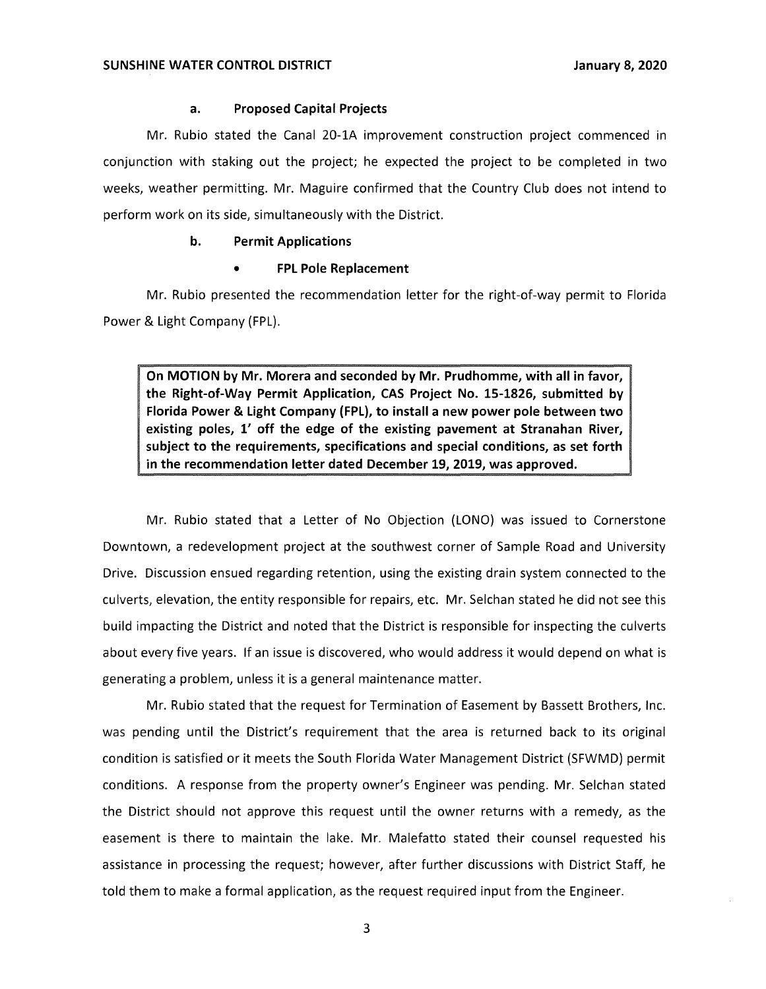### **a. Proposed Capital Projects**

Mr. Rubio stated the Canal 20-lA improvement construction project commenced in conjunction with staking out the project; he expected the project to be completed in two weeks, weather permitting. Mr. Maguire confirmed that the Country Club does not intend to perform work on its side, simultaneously with the District.

### **b. Permit Applications**

### • **FPL Pole Replacement**

Mr. Rubio presented the recommendation letter for the right-of-way permit to Florida Power & Light Company (FPL).

**On MOTION by Mr. Morera and seconded by Mr. Prudhomme, with all in favor, the Right-of-Way Permit Application, CAS Project No. 15-1826, submitted by Florida Power & Light Company (FPL), to install a new power pole between two existing poles, 1' off the edge of the existing pavement at Stranahan River, subject to the requirements, specifications and special conditions, as set forth in the recommendation letter dated December 19, 2019, was approved.** 

Mr. Rubio stated that a Letter of No Objection (LONO) was issued to Cornerstone Downtown, a redevelopment project at the southwest corner of Sample Road and University Drive. Discussion ensued regarding retention, using the existing drain system connected to the culverts, elevation, the entity responsible for repairs, etc. Mr. Selchan stated he did not see this build impacting the District and noted that the District is responsible for inspecting the culverts about every five years. If an issue is discovered, who would address it would depend on what is generating a problem, unless it is a general maintenance matter.

Mr. Rubio stated that the request for Termination of Easement by Bassett Brothers, Inc. was pending until the District's requirement that the area is returned back to its original condition is satisfied or it meets the South Florida Water Management District (SFWMD) permit conditions. A response from the property owner's Engineer was pending. Mr. Selchan stated the District should not approve this request until the owner returns with a remedy, as the easement is there to maintain the lake. Mr. Malefatto stated their counsel requested his assistance in processing the request; however, after further discussions with District Staff, he told them to make a formal application, as the request required input from the Engineer.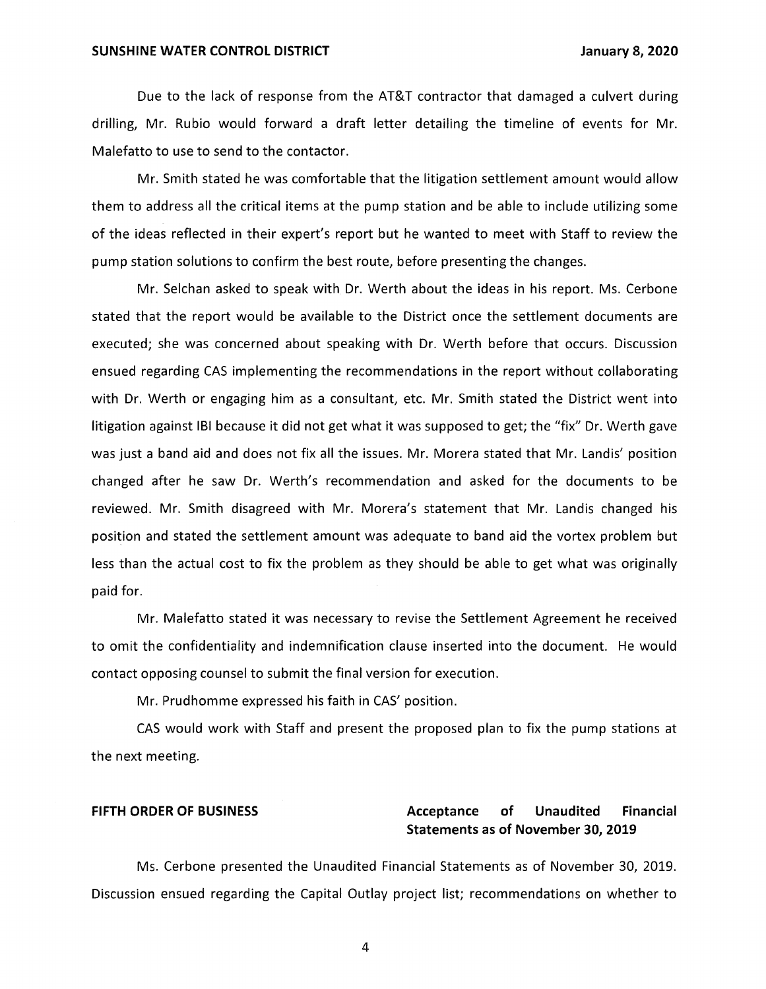Due to the lack of response from the AT&T contractor that damaged a culvert during drilling, Mr. Rubio would forward a draft letter detailing the timeline of events for Mr. Malefatto to use to send to the contactor.

Mr. Smith stated he was comfortable that the litigation settlement amount would allow them to address all the critical items at the pump station and be able to include utilizing some of the ideas reflected in their expert's report but he wanted to meet with Staff to review the pump station solutions to confirm the best route, before presenting the changes.

Mr. Selchan asked to speak with Dr. Werth about the ideas in his report. Ms. Cerbone stated that the report would be available to the District once the settlement documents are executed; she was concerned about speaking with Dr. Werth before that occurs. Discussion ensued regarding CAS implementing the recommendations in the report without collaborating with Dr. Werth or engaging him as a consultant, etc. Mr. Smith stated the District went into litigation against IBI because it did not get what it was supposed to get; the "fix" Dr. Werth gave was just a band aid and does not fix all the issues. Mr. Morera stated that Mr. Landis' position changed after he saw Dr. Werth's recommendation and asked for the documents to be reviewed. Mr. Smith disagreed with Mr. Morera's statement that Mr. Landis changed his position and stated the settlement amount was adequate to band aid the vortex problem but less than the actual cost to fix the problem as they should be able to get what was originally paid for.

Mr. Malefatto stated it was necessary to revise the Settlement Agreement he received to omit the confidentiality and indemnification clause inserted into the document. He would contact opposing counsel to submit the final version for execution.

Mr. Prudhomme expressed his faith in CAS' position.

CAS would work with Staff and present the proposed plan to fix the pump stations at the next meeting.

# **FIFTH ORDER OF BUSINESS Acceptance of Unaudited Financial Statements as of November 30, 2019**

Ms. Cerbone presented the Unaudited Financial Statements as of November 30, 2019. Discussion ensued regarding the Capital Outlay project list; recommendations on whether to

4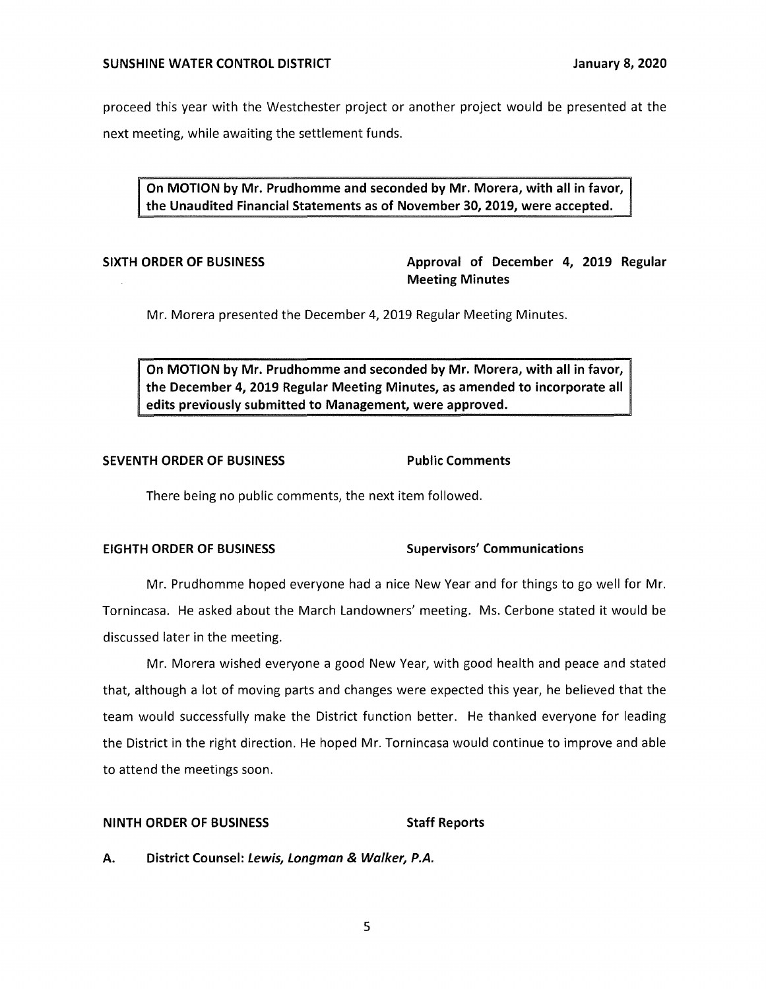proceed this year with the Westchester project or another project would be presented at the next meeting, while awaiting the settlement funds.

**On MOTION by Mr. Prudhomme and seconded by Mr. Morera, with all in favor, the Unaudited Financial Statements as of November 30, 2019, were accepted.** 

**SIXTH ORDER OF BUSINESS Approval of December 4, 2019 Regular Meeting Minutes** 

Mr. Morera presented the December 4, 2019 Regular Meeting Minutes.

**On MOTION by Mr. Prudhomme and seconded by Mr. Morera, with all in favor, the December 4, 2019 Regular Meeting Minutes, as amended to incorporate all edits previously submitted to Management, were approved.** 

### **SEVENTH ORDER OF BUSINESS FOR Public Comments**

There being no public comments, the next item followed.

# **EIGHTH ORDER OF BUSINESS Supervisors' Communications**

Mr. Prudhomme hoped everyone had a nice New Year and for things to go well for Mr. Tornincasa. He asked about the March Landowners' meeting. Ms. Cerbone stated it would be discussed later in the meeting.

Mr. Morera wished everyone a good New Year, with good health and peace and stated that, although a lot of moving parts and changes were expected this year, he believed that the team would successfully make the District function better. He thanked everyone for leading the District in the right direction. He hoped Mr. Tornincasa would continue to improve and able to attend the meetings soon.

### **NINTH ORDER OF BUSINESS STATES STAFF Reports**

**A. District Counsel: Lewis, Longman & Walker, P.A.**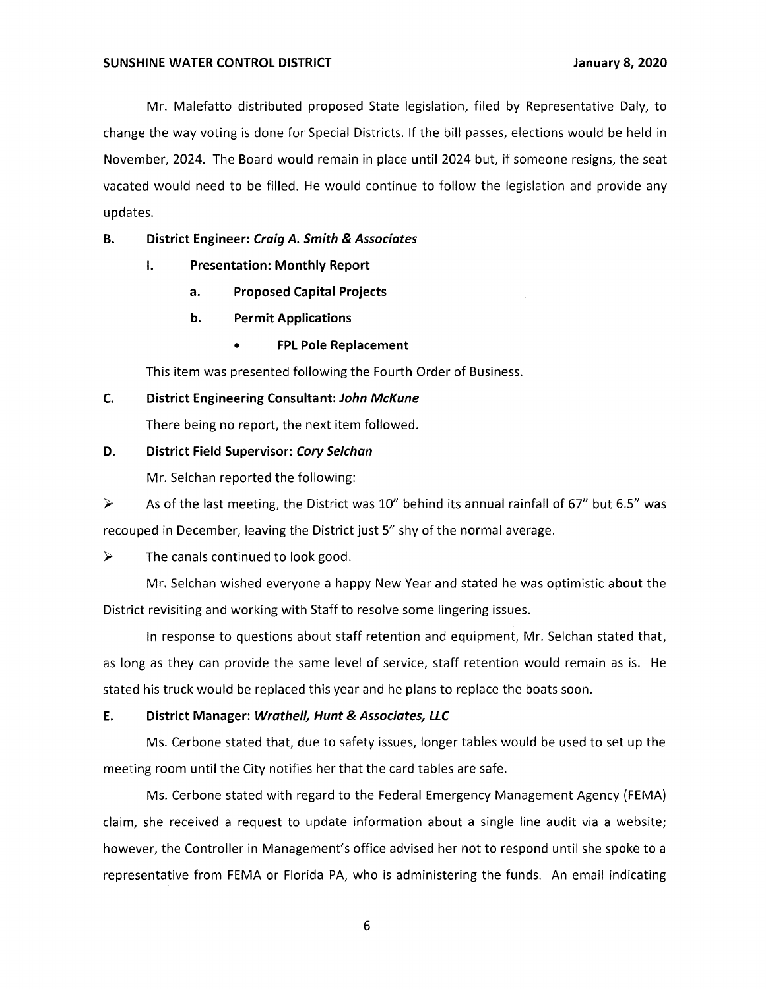Mr. Malefatto distributed proposed State legislation, filed by Representative Daly, to change the way voting is done for Special Districts. If the bill passes, elections would be held in November, 2024. The Board would remain in place until 2024 but, if someone resigns, the seat vacated would need to be filled. He would continue to follow the legislation and provide any updates.

# **B. District Engineer: Craig** *A.* **Smith & Associates**

- I. **Presentation: Monthly Report** 
	- **a. Proposed Capital Projects**
	- **b. Permit Applications** 
		- **FPL Pole Replacement**

This item was presented following the Fourth Order of Business.

### **C. District Engineering Consultant: John McKune**

There being no report, the next item followed.

### **D. District Field Supervisor: Cory Se/chan**

Mr. Selchan reported the following:

 $\triangleright$  As of the last meeting, the District was 10" behind its annual rainfall of 67" but 6.5" was recouped in December, leaving the District just 5" shy of the normal average.

 $\triangleright$  The canals continued to look good.

Mr. Selchan wished everyone a happy New Year and stated he was optimistic about the District revisiting and working with Staff to resolve some lingering issues.

In response to questions about staff retention and equipment, Mr. Selchan stated that, as long as they can provide the same level of service, staff retention would remain as is. He stated his truck would be replaced this year and he plans to replace the boats soon.

### **E. District Manager: Wrathe/1, Hunt & Associates, LLC**

Ms. Cerbone stated that, due to safety issues, longer tables would be used to set up the meeting room until the City notifies her that the card tables are safe.

Ms. Cerbone stated with regard to the Federal Emergency Management Agency (FEMA) claim, she received a request to update information about a single line audit via a website; however, the Controller in Management's office advised her not to respond until she spoke to a representative from FEMA or Florida PA, who is administering the funds. An email indicating

6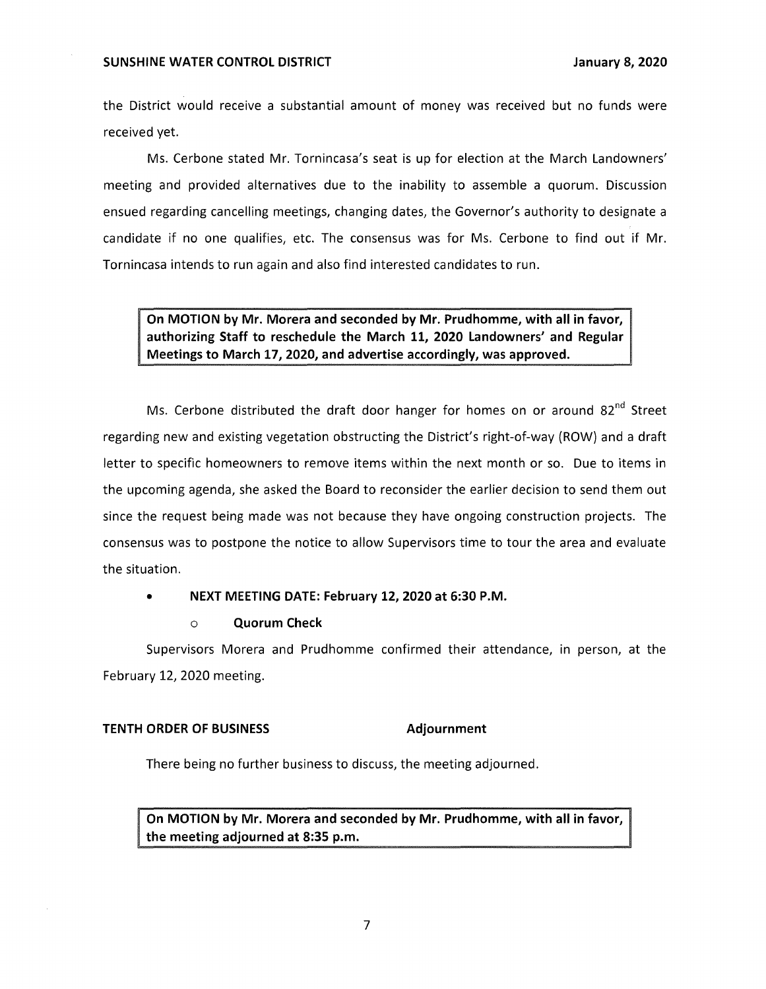### **SUNSHINE WATER CONTROL DISTRICT January 8, 2020**

the District would receive a substantial amount of money was received but no funds were received yet.

Ms. Cerbone stated Mr. Tornincasa's seat is up for election at the March Landowners' meeting and provided alternatives due to the inability to assemble a quorum. Discussion ensued regarding cancelling meetings, changing dates, the Governor's authority to designate a candidate if no one qualifies, etc. The consensus was for Ms. Cerbone to find out if Mr. Tornincasa intends to run again and also find interested candidates to run.

**On MOTION by Mr. Morera and seconded by Mr. Prudhomme, with all in favor, authorizing Staff to reschedule the March 11, 2020 Landowners' and Regular Meetings to March 17, 2020, and advertise accordingly, was approved.** 

Ms. Cerbone distributed the draft door hanger for homes on or around  $82^{nd}$  Street regarding new and existing vegetation obstructing the District's right-of-way (ROW) and a draft letter to specific homeowners to remove items within the next month or so. Due to items in the upcoming agenda, she asked the Board to reconsider the earlier decision to send them out since the request being made was not because they have ongoing construction projects. The consensus was to postpone the notice to allow Supervisors time to tour the area and evaluate the situation.

### • **NEXT MEETING DATE: February 12, 2020 at 6:30 P.M.**

### o **Quorum Check**

Supervisors Morera and Prudhomme confirmed their attendance, in person, at the February 12, 2020 meeting.

### **TENTH ORDER OF BUSINESS** Adjournment

There being no further business to discuss, the meeting adjourned.

**On MOTION by Mr. Morera and seconded by Mr. Prudhomme, with all in favor, the meeting adjourned at 8:35 p.m.**